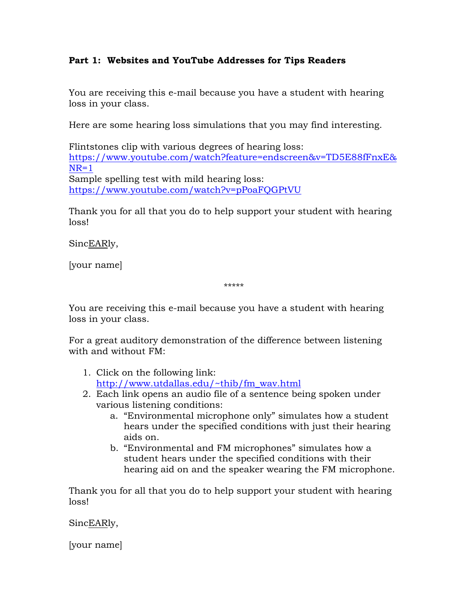## **Part 1: Websites and YouTube Addresses for Tips Readers**

You are receiving this e-mail because you have a student with hearing loss in your class.

Here are some hearing loss simulations that you may find interesting.

Flintstones clip with various degrees of hearing loss: [https://www.youtube.com/watch?feature=endscreen&v=TD5E88fFnxE&](https://www.youtube.com/watch?feature=endscreen&v=TD5E88fFnxE&NR=1)  $NR=1$ Sample spelling test with mild hearing loss: <https://www.youtube.com/watch?v=pPoaFQGPtVU>

Thank you for all that you do to help support your student with hearing loss!

SincEARly,

[your name]

\*\*\*\*\*

You are receiving this e-mail because you have a student with hearing loss in your class.

For a great auditory demonstration of the difference between listening with and without FM:

- 1. Click on the following link: [http://www.utdallas.edu/~thib/fm\\_wav.html](http://www.utdallas.edu/~thib/fm_wav.html)
- 2. Each link opens an audio file of a sentence being spoken under various listening conditions:
	- a. "Environmental microphone only" simulates how a student hears under the specified conditions with just their hearing aids on.
	- b. "Environmental and FM microphones" simulates how a student hears under the specified conditions with their hearing aid on and the speaker wearing the FM microphone.

Thank you for all that you do to help support your student with hearing loss!

SincEARly,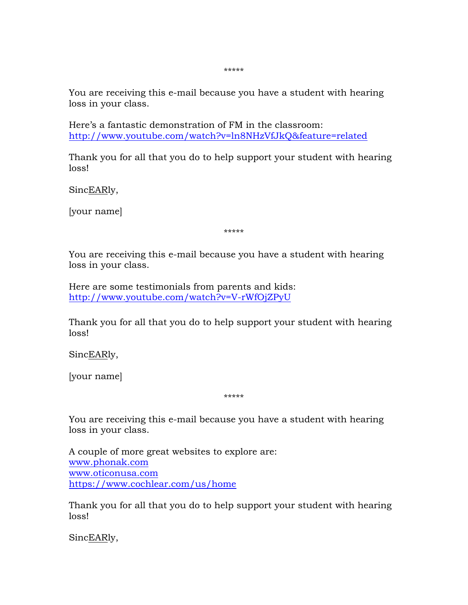\*\*\*\*\*

You are receiving this e-mail because you have a student with hearing loss in your class.

Here's a fantastic demonstration of FM in the classroom: <http://www.youtube.com/watch?v=ln8NHzVfJkQ&feature=related>

Thank you for all that you do to help support your student with hearing loss!

SincEARly,

[your name]

\*\*\*\*\*

You are receiving this e-mail because you have a student with hearing loss in your class.

Here are some testimonials from parents and kids: [http://www.youtube.com/watch?v=V-rWfOjZPyU](https://www.youtube.com/watch?v=V-rWfOjZPyU)

Thank you for all that you do to help support your student with hearing loss!

SincEARly,

[your name]

\*\*\*\*\*

You are receiving this e-mail because you have a student with hearing loss in your class.

A couple of more great websites to explore are: [www.phonak.com](http://www.phonak.com/) [www.oticonusa.com](http://www.oticonusa.com/) <https://www.cochlear.com/us/home>

Thank you for all that you do to help support your student with hearing loss!

SincEARly,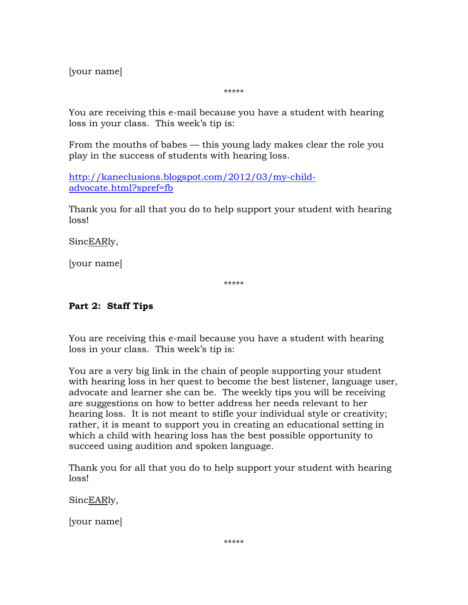[your name]

\*\*\*\*\*

You are receiving this e-mail because you have a student with hearing loss in your class. This week's tip is:

From the mouths of babes — this young lady makes clear the role you play in the success of students with hearing loss.

[http://kaneclusions.blogspot.com/2012/03/my-child](http://kaneclusions.blogspot.com/2012/03/my-child-advocate.html?spref=fb)[advocate.html?spref=fb](http://kaneclusions.blogspot.com/2012/03/my-child-advocate.html?spref=fb)

Thank you for all that you do to help support your student with hearing loss!

SincEARly,

[your name]

\*\*\*\*\*

# **Part 2: Staff Tips**

You are receiving this e-mail because you have a student with hearing loss in your class. This week's tip is:

You are a very big link in the chain of people supporting your student with hearing loss in her quest to become the best listener, language user, advocate and learner she can be. The weekly tips you will be receiving are suggestions on how to better address her needs relevant to her hearing loss. It is not meant to stifle your individual style or creativity; rather, it is meant to support you in creating an educational setting in which a child with hearing loss has the best possible opportunity to succeed using audition and spoken language.

Thank you for all that you do to help support your student with hearing loss!

SincEARly,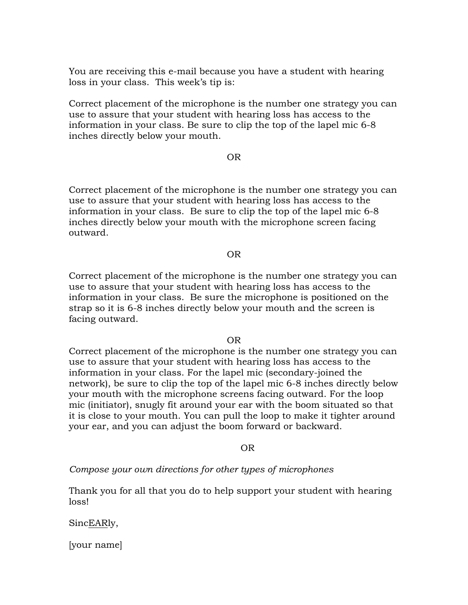You are receiving this e-mail because you have a student with hearing loss in your class. This week's tip is:

Correct placement of the microphone is the number one strategy you can use to assure that your student with hearing loss has access to the information in your class. Be sure to clip the top of the lapel mic 6-8 inches directly below your mouth.

#### OR

Correct placement of the microphone is the number one strategy you can use to assure that your student with hearing loss has access to the information in your class. Be sure to clip the top of the lapel mic 6-8 inches directly below your mouth with the microphone screen facing outward.

#### OR

Correct placement of the microphone is the number one strategy you can use to assure that your student with hearing loss has access to the information in your class. Be sure the microphone is positioned on the strap so it is 6-8 inches directly below your mouth and the screen is facing outward.

#### OR

Correct placement of the microphone is the number one strategy you can use to assure that your student with hearing loss has access to the information in your class. For the lapel mic (secondary-joined the network), be sure to clip the top of the lapel mic 6-8 inches directly below your mouth with the microphone screens facing outward. For the loop mic (initiator), snugly fit around your ear with the boom situated so that it is close to your mouth. You can pull the loop to make it tighter around your ear, and you can adjust the boom forward or backward.

#### OR

*Compose your own directions for other types of microphones*

Thank you for all that you do to help support your student with hearing loss!

SincEARly,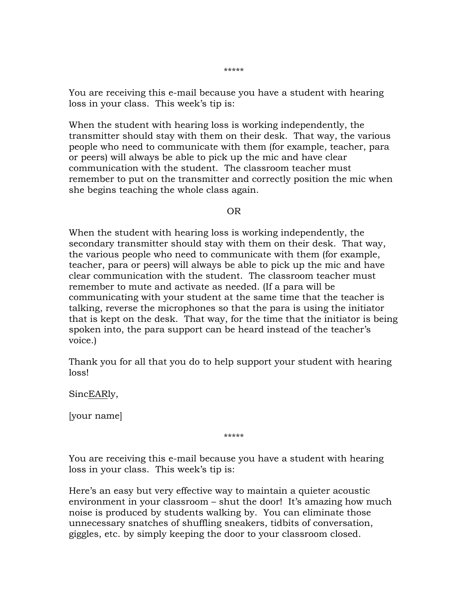\*\*\*\*\*

You are receiving this e-mail because you have a student with hearing loss in your class. This week's tip is:

When the student with hearing loss is working independently, the transmitter should stay with them on their desk. That way, the various people who need to communicate with them (for example, teacher, para or peers) will always be able to pick up the mic and have clear communication with the student. The classroom teacher must remember to put on the transmitter and correctly position the mic when she begins teaching the whole class again.

OR

When the student with hearing loss is working independently, the secondary transmitter should stay with them on their desk. That way, the various people who need to communicate with them (for example, teacher, para or peers) will always be able to pick up the mic and have clear communication with the student. The classroom teacher must remember to mute and activate as needed. (If a para will be communicating with your student at the same time that the teacher is talking, reverse the microphones so that the para is using the initiator that is kept on the desk. That way, for the time that the initiator is being spoken into, the para support can be heard instead of the teacher's voice.)

Thank you for all that you do to help support your student with hearing loss!

SincEARly,

[your name]

\*\*\*\*\*

You are receiving this e-mail because you have a student with hearing loss in your class. This week's tip is:

Here's an easy but very effective way to maintain a quieter acoustic environment in your classroom – shut the door! It's amazing how much noise is produced by students walking by. You can eliminate those unnecessary snatches of shuffling sneakers, tidbits of conversation, giggles, etc. by simply keeping the door to your classroom closed.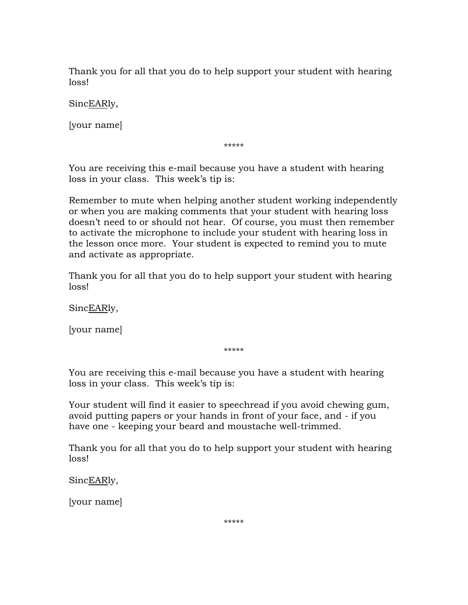Thank you for all that you do to help support your student with hearing loss!

SincEARly,

[your name]

\*\*\*\*\*

You are receiving this e-mail because you have a student with hearing loss in your class. This week's tip is:

Remember to mute when helping another student working independently or when you are making comments that your student with hearing loss doesn't need to or should not hear. Of course, you must then remember to activate the microphone to include your student with hearing loss in the lesson once more. Your student is expected to remind you to mute and activate as appropriate.

Thank you for all that you do to help support your student with hearing loss!

SincEARly,

[your name]

\*\*\*\*\*

You are receiving this e-mail because you have a student with hearing loss in your class. This week's tip is:

Your student will find it easier to speechread if you avoid chewing gum, avoid putting papers or your hands in front of your face, and - if you have one - keeping your beard and moustache well-trimmed.

Thank you for all that you do to help support your student with hearing loss!

SincEARly,

[your name]

\*\*\*\*\*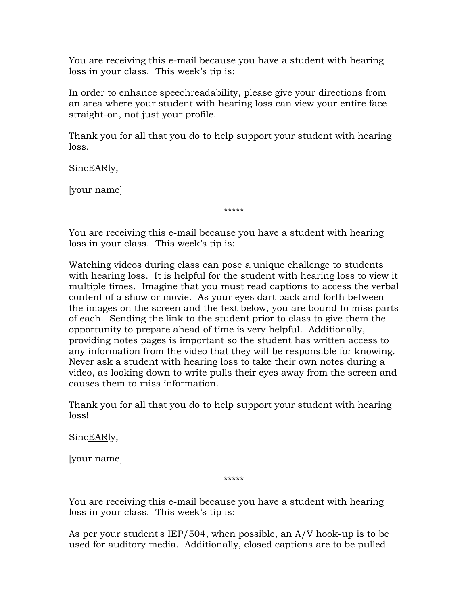You are receiving this e-mail because you have a student with hearing loss in your class. This week's tip is:

In order to enhance speechreadability, please give your directions from an area where your student with hearing loss can view your entire face straight-on, not just your profile.

Thank you for all that you do to help support your student with hearing loss.

SincEARly,

[your name]

\*\*\*\*\*

You are receiving this e-mail because you have a student with hearing loss in your class. This week's tip is:

Watching videos during class can pose a unique challenge to students with hearing loss. It is helpful for the student with hearing loss to view it multiple times. Imagine that you must read captions to access the verbal content of a show or movie. As your eyes dart back and forth between the images on the screen and the text below, you are bound to miss parts of each. Sending the link to the student prior to class to give them the opportunity to prepare ahead of time is very helpful. Additionally, providing notes pages is important so the student has written access to any information from the video that they will be responsible for knowing. Never ask a student with hearing loss to take their own notes during a video, as looking down to write pulls their eyes away from the screen and causes them to miss information.

Thank you for all that you do to help support your student with hearing loss!

SincEARly,

[your name]

\*\*\*\*\*

You are receiving this e-mail because you have a student with hearing loss in your class. This week's tip is:

As per your student's IEP/504, when possible, an A/V hook-up is to be used for auditory media. Additionally, closed captions are to be pulled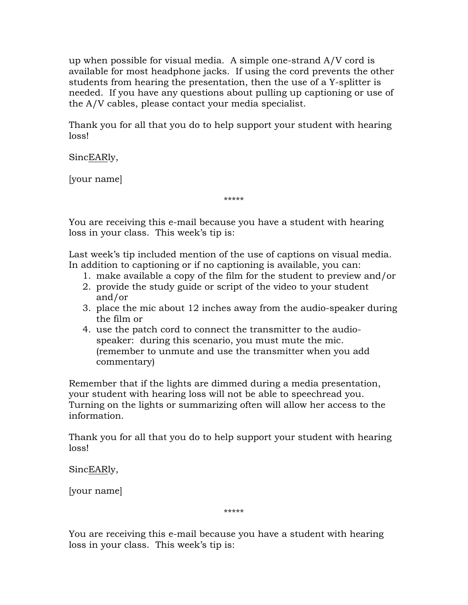up when possible for visual media. A simple one-strand A/V cord is available for most headphone jacks. If using the cord prevents the other students from hearing the presentation, then the use of a Y-splitter is needed. If you have any questions about pulling up captioning or use of the A/V cables, please contact your media specialist.

Thank you for all that you do to help support your student with hearing loss!

SincEARly,

[your name]

\*\*\*\*\*

You are receiving this e-mail because you have a student with hearing loss in your class. This week's tip is:

Last week's tip included mention of the use of captions on visual media. In addition to captioning or if no captioning is available, you can:

- 1. make available a copy of the film for the student to preview and/or
- 2. provide the study guide or script of the video to your student and/or
- 3. place the mic about 12 inches away from the audio-speaker during the film or
- 4. use the patch cord to connect the transmitter to the audiospeaker: during this scenario, you must mute the mic. (remember to unmute and use the transmitter when you add commentary)

Remember that if the lights are dimmed during a media presentation, your student with hearing loss will not be able to speechread you. Turning on the lights or summarizing often will allow her access to the information.

Thank you for all that you do to help support your student with hearing loss!

SincEARly,

[your name]

\*\*\*\*\*

You are receiving this e-mail because you have a student with hearing loss in your class. This week's tip is: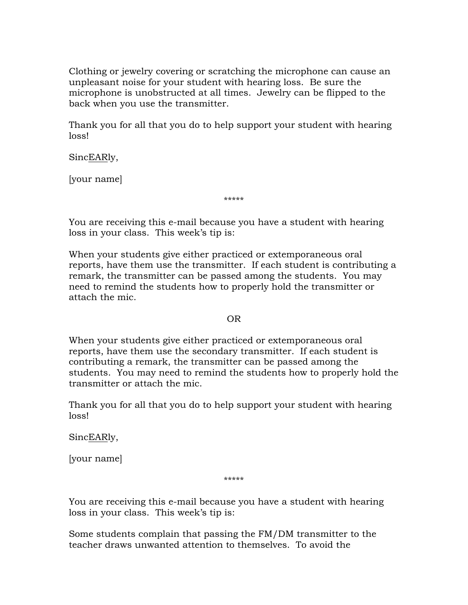Clothing or jewelry covering or scratching the microphone can cause an unpleasant noise for your student with hearing loss. Be sure the microphone is unobstructed at all times. Jewelry can be flipped to the back when you use the transmitter.

Thank you for all that you do to help support your student with hearing loss!

SincEARly,

[your name]

\*\*\*\*\*

You are receiving this e-mail because you have a student with hearing loss in your class. This week's tip is:

When your students give either practiced or extemporaneous oral reports, have them use the transmitter. If each student is contributing a remark, the transmitter can be passed among the students. You may need to remind the students how to properly hold the transmitter or attach the mic.

OR

When your students give either practiced or extemporaneous oral reports, have them use the secondary transmitter. If each student is contributing a remark, the transmitter can be passed among the students. You may need to remind the students how to properly hold the transmitter or attach the mic.

Thank you for all that you do to help support your student with hearing loss!

SincEARly,

[your name]

\*\*\*\*\*

You are receiving this e-mail because you have a student with hearing loss in your class. This week's tip is:

Some students complain that passing the FM/DM transmitter to the teacher draws unwanted attention to themselves. To avoid the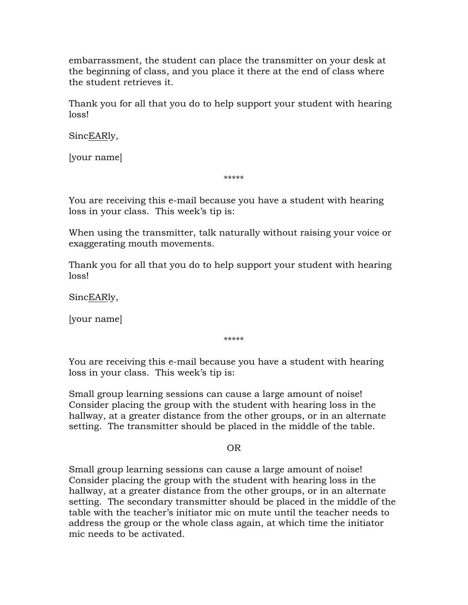embarrassment, the student can place the transmitter on your desk at the beginning of class, and you place it there at the end of class where the student retrieves it.

Thank you for all that you do to help support your student with hearing loss!

SincEARly,

[your name]

\*\*\*\*\*

You are receiving this e-mail because you have a student with hearing loss in your class. This week's tip is:

When using the transmitter, talk naturally without raising your voice or exaggerating mouth movements.

Thank you for all that you do to help support your student with hearing loss!

SincEARly,

[your name]

\*\*\*\*\*

You are receiving this e-mail because you have a student with hearing loss in your class. This week's tip is:

Small group learning sessions can cause a large amount of noise! Consider placing the group with the student with hearing loss in the hallway, at a greater distance from the other groups, or in an alternate setting. The transmitter should be placed in the middle of the table.

OR

Small group learning sessions can cause a large amount of noise! Consider placing the group with the student with hearing loss in the hallway, at a greater distance from the other groups, or in an alternate setting. The secondary transmitter should be placed in the middle of the table with the teacher's initiator mic on mute until the teacher needs to address the group or the whole class again, at which time the initiator mic needs to be activated.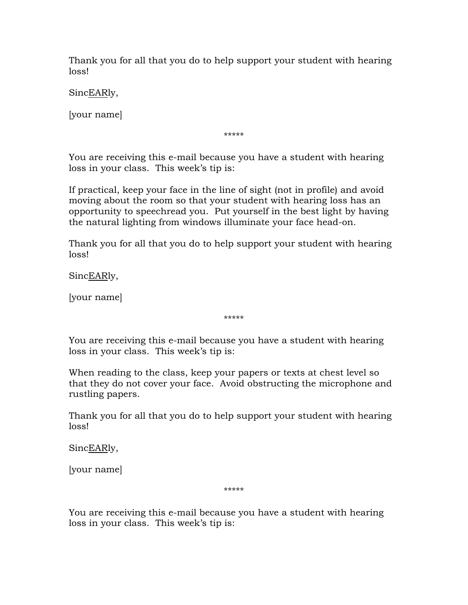Thank you for all that you do to help support your student with hearing loss!

SincEARly,

[your name]

\*\*\*\*\*

You are receiving this e-mail because you have a student with hearing loss in your class. This week's tip is:

If practical, keep your face in the line of sight (not in profile) and avoid moving about the room so that your student with hearing loss has an opportunity to speechread you. Put yourself in the best light by having the natural lighting from windows illuminate your face head-on.

Thank you for all that you do to help support your student with hearing loss!

SincEARly,

[your name]

\*\*\*\*\*

You are receiving this e-mail because you have a student with hearing loss in your class. This week's tip is:

When reading to the class, keep your papers or texts at chest level so that they do not cover your face. Avoid obstructing the microphone and rustling papers.

Thank you for all that you do to help support your student with hearing loss!

SincEARly,

[your name]

\*\*\*\*\*

You are receiving this e-mail because you have a student with hearing loss in your class. This week's tip is: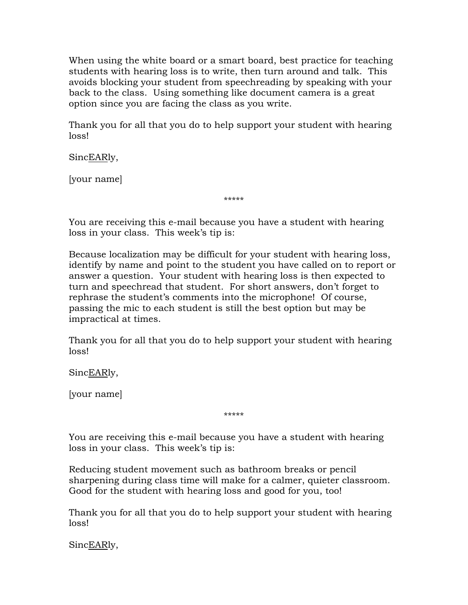When using the white board or a smart board, best practice for teaching students with hearing loss is to write, then turn around and talk. This avoids blocking your student from speechreading by speaking with your back to the class. Using something like document camera is a great option since you are facing the class as you write.

Thank you for all that you do to help support your student with hearing loss!

SincEARly,

[your name]

\*\*\*\*\*

You are receiving this e-mail because you have a student with hearing loss in your class. This week's tip is:

Because localization may be difficult for your student with hearing loss, identify by name and point to the student you have called on to report or answer a question. Your student with hearing loss is then expected to turn and speechread that student. For short answers, don't forget to rephrase the student's comments into the microphone! Of course, passing the mic to each student is still the best option but may be impractical at times.

Thank you for all that you do to help support your student with hearing loss!

SincEARly,

[your name]

\*\*\*\*\*

You are receiving this e-mail because you have a student with hearing loss in your class. This week's tip is:

Reducing student movement such as bathroom breaks or pencil sharpening during class time will make for a calmer, quieter classroom. Good for the student with hearing loss and good for you, too!

Thank you for all that you do to help support your student with hearing loss!

SincEARly,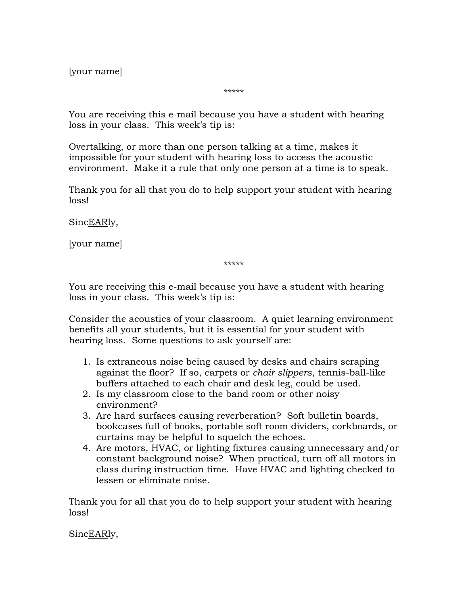[your name]

\*\*\*\*\*

You are receiving this e-mail because you have a student with hearing loss in your class. This week's tip is:

Overtalking, or more than one person talking at a time, makes it impossible for your student with hearing loss to access the acoustic environment. Make it a rule that only one person at a time is to speak.

Thank you for all that you do to help support your student with hearing loss!

SincEARly,

[your name]

\*\*\*\*\*

You are receiving this e-mail because you have a student with hearing loss in your class. This week's tip is:

Consider the acoustics of your classroom. A quiet learning environment benefits all your students, but it is essential for your student with hearing loss. Some questions to ask yourself are:

- 1. Is extraneous noise being caused by desks and chairs scraping against the floor? If so, carpets or *chair slippers*, tennis-ball-like buffers attached to each chair and desk leg, could be used.
- 2. Is my classroom close to the band room or other noisy environment?
- 3. Are hard surfaces causing reverberation? Soft bulletin boards, bookcases full of books, portable soft room dividers, corkboards, or curtains may be helpful to squelch the echoes.
- 4. Are motors, HVAC, or lighting fixtures causing unnecessary and/or constant background noise? When practical, turn off all motors in class during instruction time. Have HVAC and lighting checked to lessen or eliminate noise.

Thank you for all that you do to help support your student with hearing loss!

SincEARly,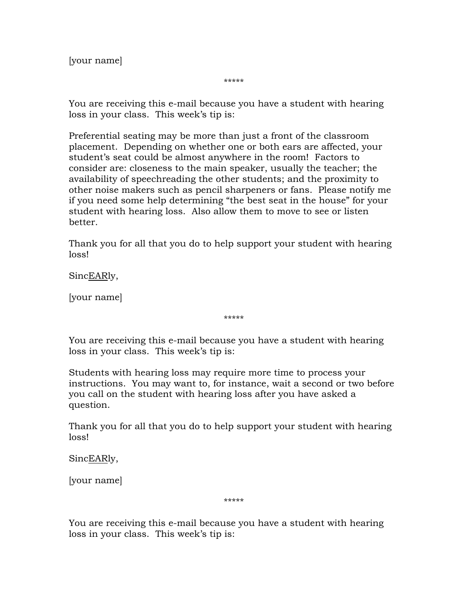[your name]

\*\*\*\*\*

You are receiving this e-mail because you have a student with hearing loss in your class. This week's tip is:

Preferential seating may be more than just a front of the classroom placement. Depending on whether one or both ears are affected, your student's seat could be almost anywhere in the room! Factors to consider are: closeness to the main speaker, usually the teacher; the availability of speechreading the other students; and the proximity to other noise makers such as pencil sharpeners or fans. Please notify me if you need some help determining "the best seat in the house" for your student with hearing loss. Also allow them to move to see or listen better.

Thank you for all that you do to help support your student with hearing loss!

SincEARly,

[your name]

\*\*\*\*\*

You are receiving this e-mail because you have a student with hearing loss in your class. This week's tip is:

Students with hearing loss may require more time to process your instructions. You may want to, for instance, wait a second or two before you call on the student with hearing loss after you have asked a question.

Thank you for all that you do to help support your student with hearing loss!

SincEARly,

[your name]

\*\*\*\*\*

You are receiving this e-mail because you have a student with hearing loss in your class. This week's tip is: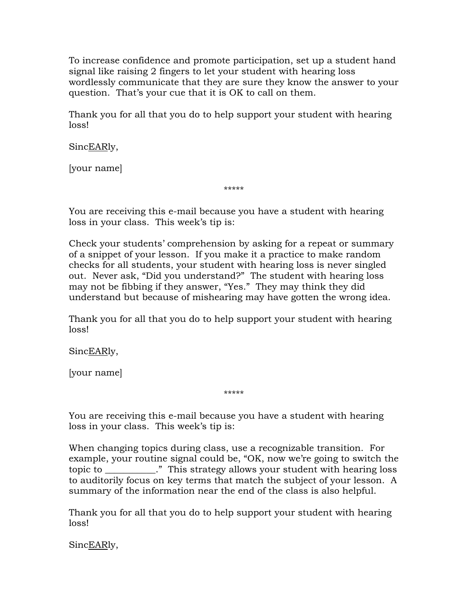To increase confidence and promote participation, set up a student hand signal like raising 2 fingers to let your student with hearing loss wordlessly communicate that they are sure they know the answer to your question. That's your cue that it is OK to call on them.

Thank you for all that you do to help support your student with hearing loss!

SincEARly,

[your name]

\*\*\*\*\*

You are receiving this e-mail because you have a student with hearing loss in your class. This week's tip is:

Check your students' comprehension by asking for a repeat or summary of a snippet of your lesson. If you make it a practice to make random checks for all students, your student with hearing loss is never singled out. Never ask, "Did you understand?" The student with hearing loss may not be fibbing if they answer, "Yes." They may think they did understand but because of mishearing may have gotten the wrong idea.

Thank you for all that you do to help support your student with hearing loss!

SincEARly,

[your name]

You are receiving this e-mail because you have a student with hearing loss in your class. This week's tip is:

\*\*\*\*\*

When changing topics during class, use a recognizable transition. For example, your routine signal could be, "OK, now we're going to switch the topic to \_\_\_\_\_\_\_\_\_\_\_." This strategy allows your student with hearing loss to auditorily focus on key terms that match the subject of your lesson. A summary of the information near the end of the class is also helpful.

Thank you for all that you do to help support your student with hearing loss!

SincEARly,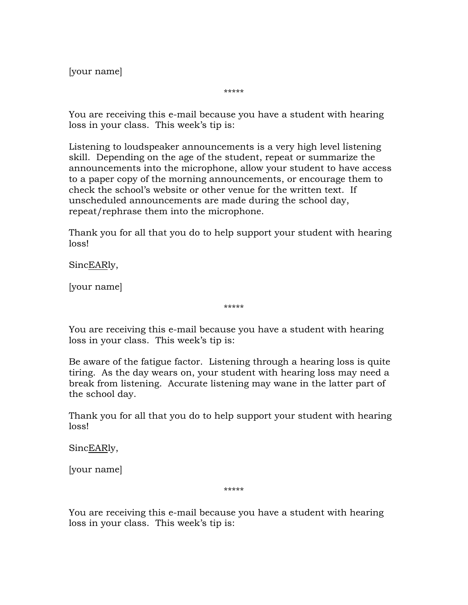[your name]

\*\*\*\*\*

You are receiving this e-mail because you have a student with hearing loss in your class. This week's tip is:

Listening to loudspeaker announcements is a very high level listening skill. Depending on the age of the student, repeat or summarize the announcements into the microphone, allow your student to have access to a paper copy of the morning announcements, or encourage them to check the school's website or other venue for the written text. If unscheduled announcements are made during the school day, repeat/rephrase them into the microphone.

Thank you for all that you do to help support your student with hearing loss!

SincEARly,

[your name]

\*\*\*\*\*

You are receiving this e-mail because you have a student with hearing loss in your class. This week's tip is:

Be aware of the fatigue factor. Listening through a hearing loss is quite tiring. As the day wears on, your student with hearing loss may need a break from listening. Accurate listening may wane in the latter part of the school day.

Thank you for all that you do to help support your student with hearing loss!

SincEARly,

[your name]

\*\*\*\*\*

You are receiving this e-mail because you have a student with hearing loss in your class. This week's tip is: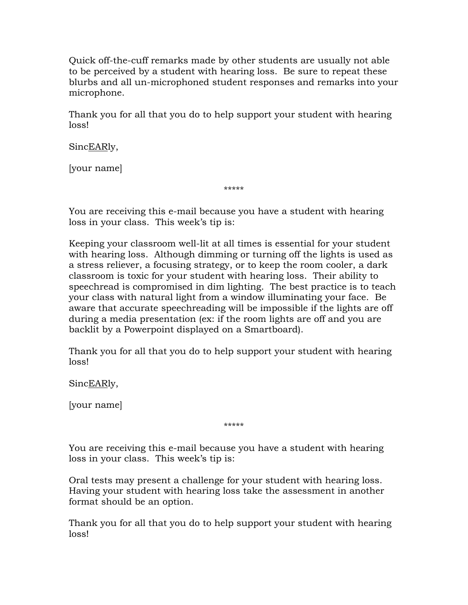Quick off-the-cuff remarks made by other students are usually not able to be perceived by a student with hearing loss. Be sure to repeat these blurbs and all un-microphoned student responses and remarks into your microphone.

Thank you for all that you do to help support your student with hearing loss!

SincEARly,

[your name]

\*\*\*\*\*

You are receiving this e-mail because you have a student with hearing loss in your class. This week's tip is:

Keeping your classroom well-lit at all times is essential for your student with hearing loss. Although dimming or turning off the lights is used as a stress reliever, a focusing strategy, or to keep the room cooler, a dark classroom is toxic for your student with hearing loss. Their ability to speechread is compromised in dim lighting. The best practice is to teach your class with natural light from a window illuminating your face. Be aware that accurate speechreading will be impossible if the lights are off during a media presentation (ex: if the room lights are off and you are backlit by a Powerpoint displayed on a Smartboard).

Thank you for all that you do to help support your student with hearing loss!

SincEARly,

[your name]

\*\*\*\*\*

You are receiving this e-mail because you have a student with hearing loss in your class. This week's tip is:

Oral tests may present a challenge for your student with hearing loss. Having your student with hearing loss take the assessment in another format should be an option.

Thank you for all that you do to help support your student with hearing loss!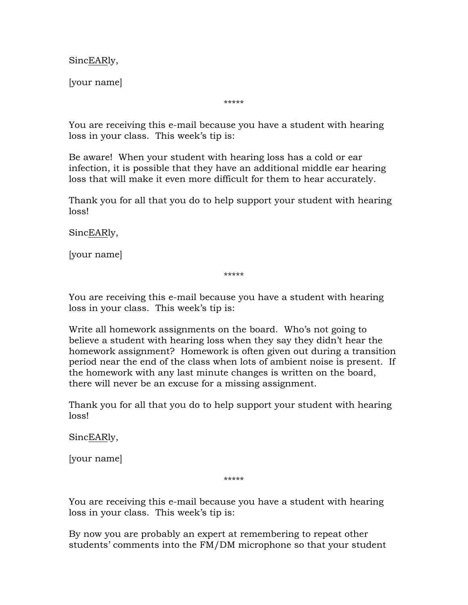SincEARly,

[your name]

\*\*\*\*\*

You are receiving this e-mail because you have a student with hearing loss in your class. This week's tip is:

Be aware! When your student with hearing loss has a cold or ear infection, it is possible that they have an additional middle ear hearing loss that will make it even more difficult for them to hear accurately.

Thank you for all that you do to help support your student with hearing loss!

SincEARly,

[your name]

\*\*\*\*\*

You are receiving this e-mail because you have a student with hearing loss in your class. This week's tip is:

Write all homework assignments on the board. Who's not going to believe a student with hearing loss when they say they didn't hear the homework assignment? Homework is often given out during a transition period near the end of the class when lots of ambient noise is present. If the homework with any last minute changes is written on the board, there will never be an excuse for a missing assignment.

Thank you for all that you do to help support your student with hearing loss!

SincEARly,

[your name]

\*\*\*\*\*

You are receiving this e-mail because you have a student with hearing loss in your class. This week's tip is:

By now you are probably an expert at remembering to repeat other students' comments into the FM/DM microphone so that your student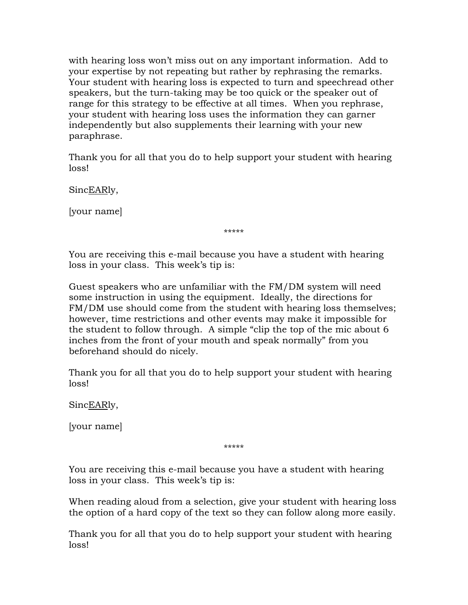with hearing loss won't miss out on any important information. Add to your expertise by not repeating but rather by rephrasing the remarks. Your student with hearing loss is expected to turn and speechread other speakers, but the turn-taking may be too quick or the speaker out of range for this strategy to be effective at all times. When you rephrase, your student with hearing loss uses the information they can garner independently but also supplements their learning with your new paraphrase.

Thank you for all that you do to help support your student with hearing loss!

SincEARly,

[your name]

\*\*\*\*\*

You are receiving this e-mail because you have a student with hearing loss in your class. This week's tip is:

Guest speakers who are unfamiliar with the FM/DM system will need some instruction in using the equipment. Ideally, the directions for FM/DM use should come from the student with hearing loss themselves; however, time restrictions and other events may make it impossible for the student to follow through. A simple "clip the top of the mic about 6 inches from the front of your mouth and speak normally" from you beforehand should do nicely.

Thank you for all that you do to help support your student with hearing loss!

SincEARly,

[your name]

\*\*\*\*\*

You are receiving this e-mail because you have a student with hearing loss in your class. This week's tip is:

When reading aloud from a selection, give your student with hearing loss the option of a hard copy of the text so they can follow along more easily.

Thank you for all that you do to help support your student with hearing loss!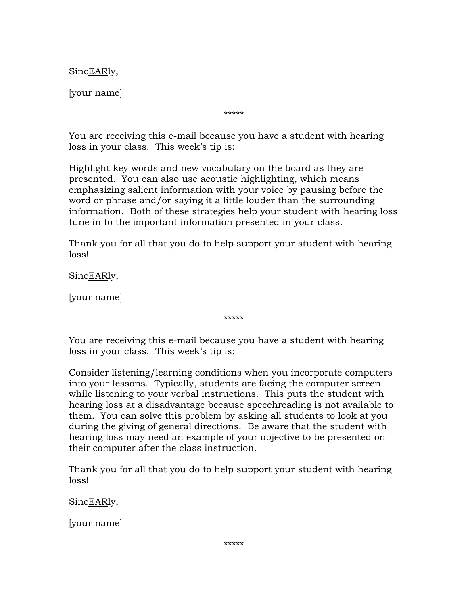SincEARly,

[your name]

\*\*\*\*\*

You are receiving this e-mail because you have a student with hearing loss in your class. This week's tip is:

Highlight key words and new vocabulary on the board as they are presented. You can also use acoustic highlighting, which means emphasizing salient information with your voice by pausing before the word or phrase and/or saying it a little louder than the surrounding information. Both of these strategies help your student with hearing loss tune in to the important information presented in your class.

Thank you for all that you do to help support your student with hearing loss!

SincEARly,

[your name]

\*\*\*\*\*

You are receiving this e-mail because you have a student with hearing loss in your class. This week's tip is:

Consider listening/learning conditions when you incorporate computers into your lessons. Typically, students are facing the computer screen while listening to your verbal instructions. This puts the student with hearing loss at a disadvantage because speechreading is not available to them. You can solve this problem by asking all students to look at you during the giving of general directions. Be aware that the student with hearing loss may need an example of your objective to be presented on their computer after the class instruction.

Thank you for all that you do to help support your student with hearing loss!

SincEARly,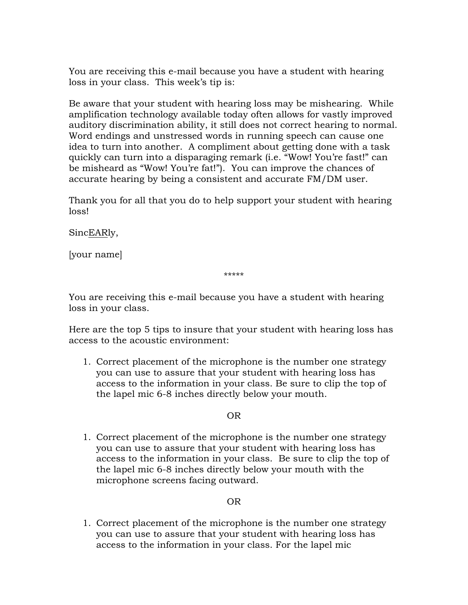You are receiving this e-mail because you have a student with hearing loss in your class. This week's tip is:

Be aware that your student with hearing loss may be mishearing. While amplification technology available today often allows for vastly improved auditory discrimination ability, it still does not correct hearing to normal. Word endings and unstressed words in running speech can cause one idea to turn into another. A compliment about getting done with a task quickly can turn into a disparaging remark (i.e. "Wow! You're fast!" can be misheard as "Wow! You're fat!"). You can improve the chances of accurate hearing by being a consistent and accurate FM/DM user.

Thank you for all that you do to help support your student with hearing loss!

SincEARly,

[your name]

\*\*\*\*\*

You are receiving this e-mail because you have a student with hearing loss in your class.

Here are the top 5 tips to insure that your student with hearing loss has access to the acoustic environment:

1. Correct placement of the microphone is the number one strategy you can use to assure that your student with hearing loss has access to the information in your class. Be sure to clip the top of the lapel mic 6-8 inches directly below your mouth.

## OR

1. Correct placement of the microphone is the number one strategy you can use to assure that your student with hearing loss has access to the information in your class. Be sure to clip the top of the lapel mic 6-8 inches directly below your mouth with the microphone screens facing outward.

## OR

1. Correct placement of the microphone is the number one strategy you can use to assure that your student with hearing loss has access to the information in your class. For the lapel mic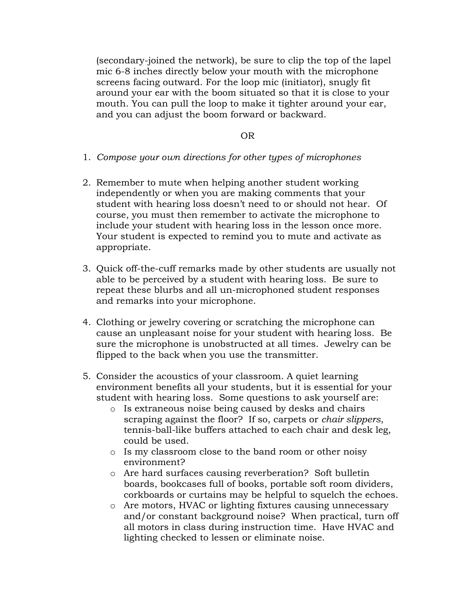(secondary-joined the network), be sure to clip the top of the lapel mic 6-8 inches directly below your mouth with the microphone screens facing outward. For the loop mic (initiator), snugly fit around your ear with the boom situated so that it is close to your mouth. You can pull the loop to make it tighter around your ear, and you can adjust the boom forward or backward.

#### OR

- 1. *Compose your own directions for other types of microphones*
- 2. Remember to mute when helping another student working independently or when you are making comments that your student with hearing loss doesn't need to or should not hear. Of course, you must then remember to activate the microphone to include your student with hearing loss in the lesson once more. Your student is expected to remind you to mute and activate as appropriate.
- 3. Quick off-the-cuff remarks made by other students are usually not able to be perceived by a student with hearing loss. Be sure to repeat these blurbs and all un-microphoned student responses and remarks into your microphone.
- 4. Clothing or jewelry covering or scratching the microphone can cause an unpleasant noise for your student with hearing loss. Be sure the microphone is unobstructed at all times. Jewelry can be flipped to the back when you use the transmitter.
- 5. Consider the acoustics of your classroom. A quiet learning environment benefits all your students, but it is essential for your student with hearing loss. Some questions to ask yourself are:
	- o Is extraneous noise being caused by desks and chairs scraping against the floor? If so, carpets or *chair slippers*, tennis-ball-like buffers attached to each chair and desk leg, could be used.
	- o Is my classroom close to the band room or other noisy environment?
	- o Are hard surfaces causing reverberation? Soft bulletin boards, bookcases full of books, portable soft room dividers, corkboards or curtains may be helpful to squelch the echoes.
	- o Are motors, HVAC or lighting fixtures causing unnecessary and/or constant background noise? When practical, turn off all motors in class during instruction time. Have HVAC and lighting checked to lessen or eliminate noise.